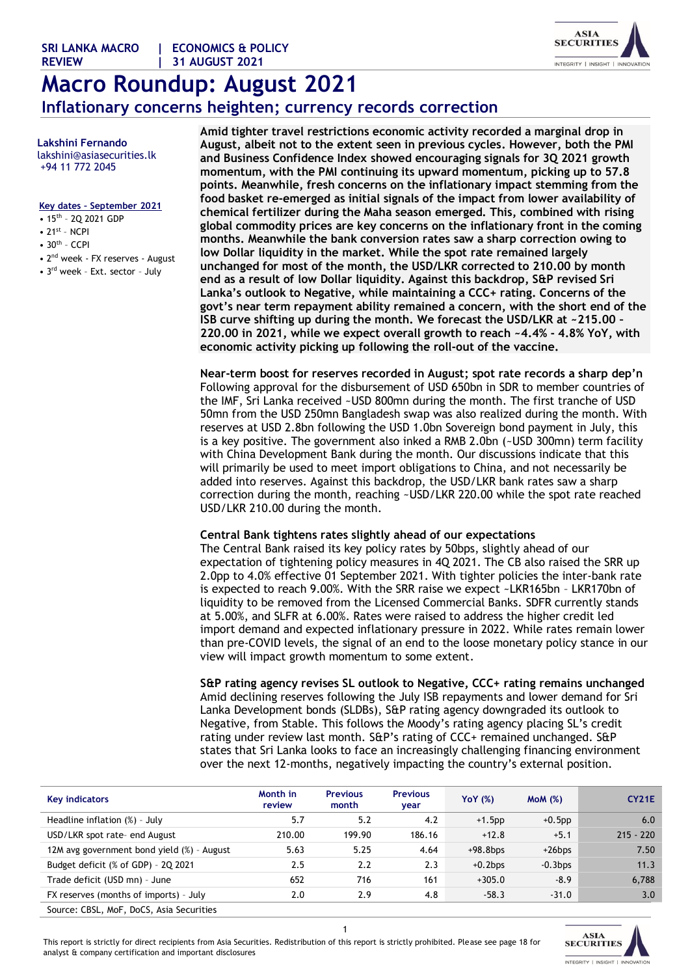**SRI LANKA MACRO | ECONOMICS & POLICY**

# **Macro Roundup: August 2021 Inflationary concerns heighten; currency records correction**

 **Lakshini Fernando** lakshini@asiasecurities.lk +94 11 772 2045

#### **Key dates – September 2021**

- 15<sup>th</sup> 2Q 2021 GDP
- $\bullet$  21st NCPI
- $\bullet$  30<sup>th</sup> CCPI
- 2nd week FX reserves August
- 3<sup>rd</sup> week Ext. sector July

**Amid tighter travel restrictions economic activity recorded a marginal drop in August, albeit not to the extent seen in previous cycles. However, both the PMI and Business Confidence Index showed encouraging signals for 3Q 2021 growth momentum, with the PMI continuing its upward momentum, picking up to 57.8 points. Meanwhile, fresh concerns on the inflationary impact stemming from the food basket re-emerged as initial signals of the impact from lower availability of chemical fertilizer during the Maha season emerged. This, combined with rising global commodity prices are key concerns on the inflationary front in the coming months. Meanwhile the bank conversion rates saw a sharp correction owing to low Dollar liquidity in the market. While the spot rate remained largely unchanged for most of the month, the USD/LKR corrected to 210.00 by month end as a result of low Dollar liquidity. Against this backdrop, S&P revised Sri Lanka's outlook to Negative, while maintaining a CCC+ rating. Concerns of the govt's near term repayment ability remained a concern, with the short end of the ISB curve shifting up during the month. We forecast the USD/LKR at ~215.00 – 220.00 in 2021, while we expect overall growth to reach ~4.4% - 4.8% YoY, with economic activity picking up following the roll-out of the vaccine.**

**Near-term boost for reserves recorded in August; spot rate records a sharp dep'n** Following approval for the disbursement of USD 650bn in SDR to member countries of the IMF, Sri Lanka received ~USD 800mn during the month. The first tranche of USD 50mn from the USD 250mn Bangladesh swap was also realized during the month. With reserves at USD 2.8bn following the USD 1.0bn Sovereign bond payment in July, this is a key positive. The government also inked a RMB 2.0bn (~USD 300mn) term facility with China Development Bank during the month. Our discussions indicate that this will primarily be used to meet import obligations to China, and not necessarily be added into reserves. Against this backdrop, the USD/LKR bank rates saw a sharp correction during the month, reaching ~USD/LKR 220.00 while the spot rate reached USD/LKR 210.00 during the month.

#### **Central Bank tightens rates slightly ahead of our expectations**

The Central Bank raised its key policy rates by 50bps, slightly ahead of our expectation of tightening policy measures in 4Q 2021. The CB also raised the SRR up 2.0pp to 4.0% effective 01 September 2021. With tighter policies the inter-bank rate is expected to reach 9.00%. With the SRR raise we expect ~LKR165bn – LKR170bn of liquidity to be removed from the Licensed Commercial Banks. SDFR currently stands at 5.00%, and SLFR at 6.00%. Rates were raised to address the higher credit led import demand and expected inflationary pressure in 2022. While rates remain lower than pre-COVID levels, the signal of an end to the loose monetary policy stance in our view will impact growth momentum to some extent.

#### **S&P rating agency revises SL outlook to Negative, CCC+ rating remains unchanged**

Amid declining reserves following the July ISB repayments and lower demand for Sri Lanka Development bonds (SLDBs), S&P rating agency downgraded its outlook to Negative, from Stable. This follows the Moody's rating agency placing SL's credit rating under review last month. S&P's rating of CCC+ remained unchanged. S&P states that Sri Lanka looks to face an increasingly challenging financing environment over the next 12-months, negatively impacting the country's external position.

| Key indicators                             | Month in<br>review | <b>Previous</b><br>month | <b>Previous</b><br>year | <b>YoY</b> (%) | MOM(%)     | <b>CY21E</b> |
|--------------------------------------------|--------------------|--------------------------|-------------------------|----------------|------------|--------------|
| Headline inflation $(\%)$ - July           | 5.7                | 5.2                      | 4.2                     | $+1.5$ pp      | $+0.5$ pp  | 6.0          |
| USD/LKR spot rate- end August              | 210.00             | 199.90                   | 186.16                  | $+12.8$        | $+5.1$     | $215 - 220$  |
| 12M avg government bond yield (%) - August | 5.63               | 5.25                     | 4.64                    | $+98.8$ bps    | $+26$ bps  | 7.50         |
| Budget deficit (% of GDP) - 2Q 2021        | 2.5                | 2.2                      | 2.3                     | $+0.2$ bps     | $-0.3$ bps | 11.3         |
| Trade deficit (USD mn) - June              | 652                | 716                      | 161                     | $+305.0$       | $-8.9$     | 6,788        |
| FX reserves (months of imports) - July     | 2.0                | 2.9                      | 4.8                     | $-58.3$        | $-31.0$    | 3.0          |
| Source: CBSL, MoF, DoCS, Asia Securities   |                    |                          |                         |                |            |              |



This report is strictly for direct recipients from Asia Securities. Redistribution of this report is strictly prohibited. Please see page 18 for analyst & company certification and important disclosures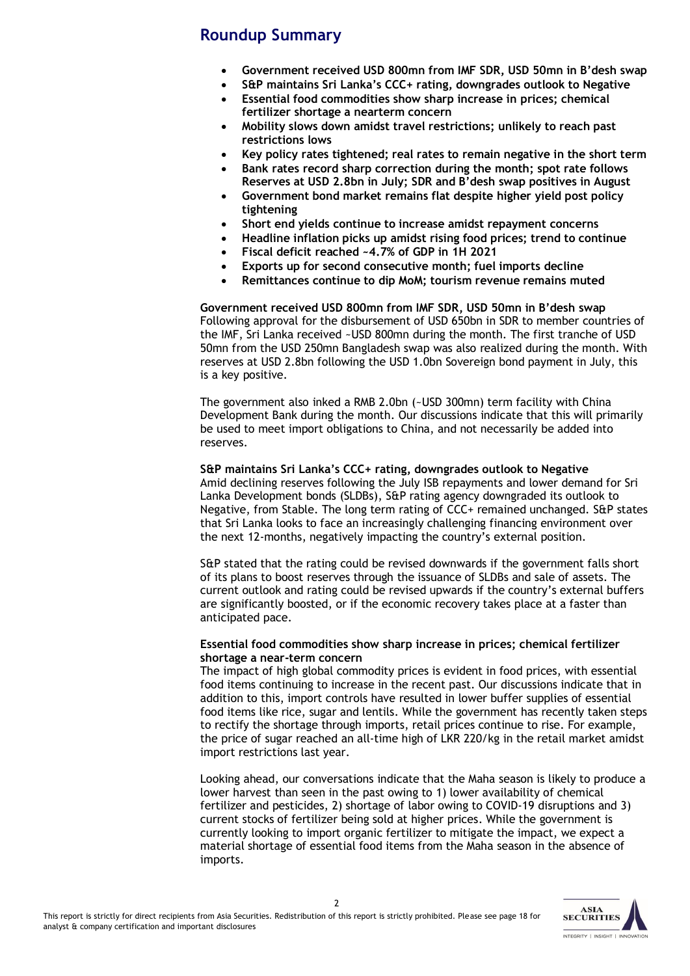### **Roundup Summary**

- **Government received USD 800mn from IMF SDR, USD 50mn in B'desh swap**
- **S&P maintains Sri Lanka's CCC+ rating, downgrades outlook to Negative**
- **Essential food commodities show sharp increase in prices; chemical fertilizer shortage a nearterm concern**
- **Mobility slows down amidst travel restrictions; unlikely to reach past restrictions lows**
- **Key policy rates tightened; real rates to remain negative in the short term**  • **Bank rates record sharp correction during the month; spot rate follows**
- **Reserves at USD 2.8bn in July; SDR and B'desh swap positives in August**
- **Government bond market remains flat despite higher yield post policy tightening**
- **Short end yields continue to increase amidst repayment concerns**
- **Headline inflation picks up amidst rising food prices; trend to continue**
- **Fiscal deficit reached ~4.7% of GDP in 1H 2021**
- **Exports up for second consecutive month; fuel imports decline**
- **Remittances continue to dip MoM; tourism revenue remains muted**

**Government received USD 800mn from IMF SDR, USD 50mn in B'desh swap** Following approval for the disbursement of USD 650bn in SDR to member countries of the IMF, Sri Lanka received ~USD 800mn during the month. The first tranche of USD 50mn from the USD 250mn Bangladesh swap was also realized during the month. With reserves at USD 2.8bn following the USD 1.0bn Sovereign bond payment in July, this is a key positive.

The government also inked a RMB 2.0bn (~USD 300mn) term facility with China Development Bank during the month. Our discussions indicate that this will primarily be used to meet import obligations to China, and not necessarily be added into reserves.

#### **S&P maintains Sri Lanka's CCC+ rating, downgrades outlook to Negative**

Amid declining reserves following the July ISB repayments and lower demand for Sri Lanka Development bonds (SLDBs), S&P rating agency downgraded its outlook to Negative, from Stable. The long term rating of CCC+ remained unchanged. S&P states that Sri Lanka looks to face an increasingly challenging financing environment over the next 12-months, negatively impacting the country's external position.

S&P stated that the rating could be revised downwards if the government falls short of its plans to boost reserves through the issuance of SLDBs and sale of assets. The current outlook and rating could be revised upwards if the country's external buffers are significantly boosted, or if the economic recovery takes place at a faster than anticipated pace.

#### **Essential food commodities show sharp increase in prices; chemical fertilizer shortage a near-term concern**

The impact of high global commodity prices is evident in food prices, with essential food items continuing to increase in the recent past. Our discussions indicate that in addition to this, import controls have resulted in lower buffer supplies of essential food items like rice, sugar and lentils. While the government has recently taken steps to rectify the shortage through imports, retail prices continue to rise. For example, the price of sugar reached an all-time high of LKR 220/kg in the retail market amidst import restrictions last year.

Looking ahead, our conversations indicate that the Maha season is likely to produce a lower harvest than seen in the past owing to 1) lower availability of chemical fertilizer and pesticides, 2) shortage of labor owing to COVID-19 disruptions and 3) current stocks of fertilizer being sold at higher prices. While the government is currently looking to import organic fertilizer to mitigate the impact, we expect a material shortage of essential food items from the Maha season in the absence of imports.

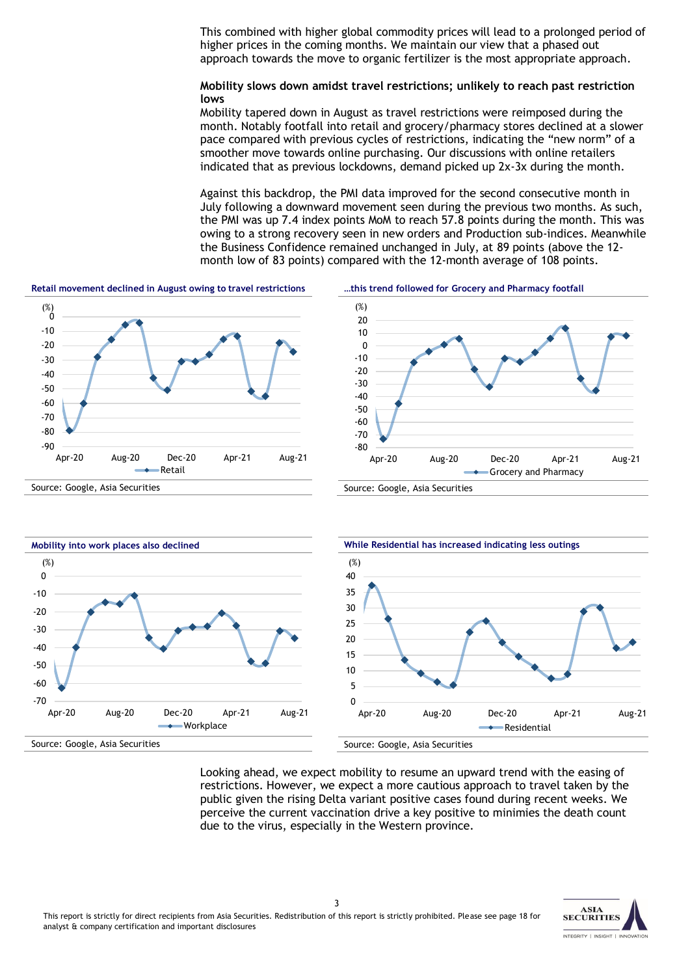This combined with higher global commodity prices will lead to a prolonged period of higher prices in the coming months. We maintain our view that a phased out approach towards the move to organic fertilizer is the most appropriate approach.

**Mobility slows down amidst travel restrictions; unlikely to reach past restriction lows**

Mobility tapered down in August as travel restrictions were reimposed during the month. Notably footfall into retail and grocery/pharmacy stores declined at a slower pace compared with previous cycles of restrictions, indicating the "new norm" of a smoother move towards online purchasing. Our discussions with online retailers indicated that as previous lockdowns, demand picked up 2x-3x during the month.

Against this backdrop, the PMI data improved for the second consecutive month in July following a downward movement seen during the previous two months. As such, the PMI was up 7.4 index points MoM to reach 57.8 points during the month. This was owing to a strong recovery seen in new orders and Production sub-indices. Meanwhile the Business Confidence remained unchanged in July, at 89 points (above the 12 month low of 83 points) compared with the 12-month average of 108 points.



Looking ahead, we expect mobility to resume an upward trend with the easing of restrictions. However, we expect a more cautious approach to travel taken by the public given the rising Delta variant positive cases found during recent weeks. We perceive the current vaccination drive a key positive to minimies the death count due to the virus, especially in the Western province.

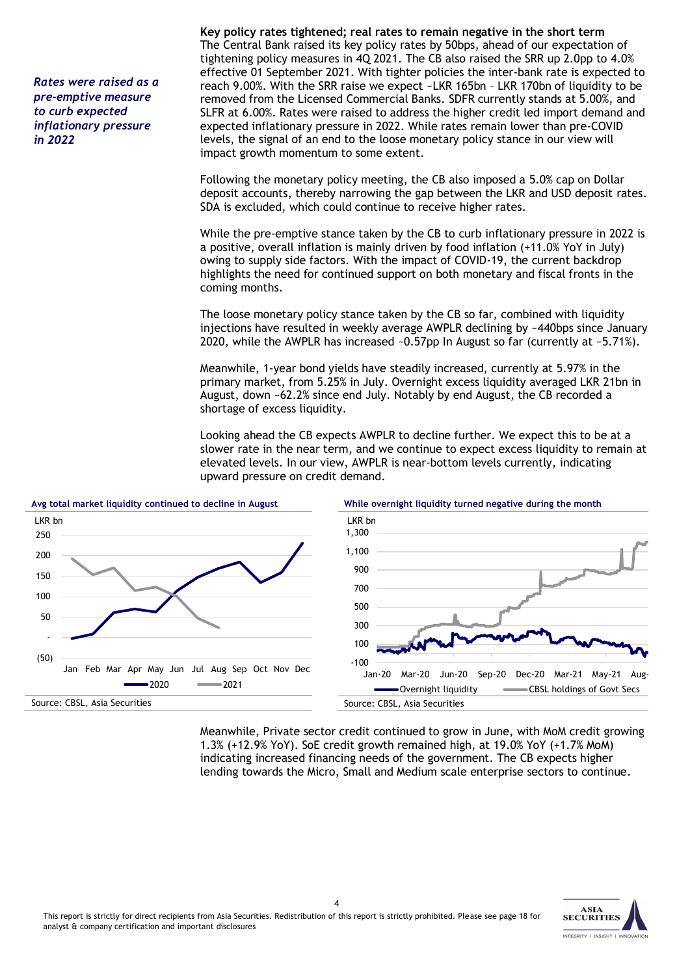*Rates were raised as a pre-emptive measure to curb expected inflationary pressure in 2022*

**Key policy rates tightened; real rates to remain negative in the short term**  The Central Bank raised its key policy rates by 50bps, ahead of our expectation of tightening policy measures in 4Q 2021. The CB also raised the SRR up 2.0pp to 4.0% effective 01 September 2021. With tighter policies the inter-bank rate is expected to reach 9.00%. With the SRR raise we expect ~LKR 165bn – LKR 170bn of liquidity to be removed from the Licensed Commercial Banks. SDFR currently stands at 5.00%, and SLFR at 6.00%. Rates were raised to address the higher credit led import demand and expected inflationary pressure in 2022. While rates remain lower than pre-COVID levels, the signal of an end to the loose monetary policy stance in our view will impact growth momentum to some extent.

Following the monetary policy meeting, the CB also imposed a 5.0% cap on Dollar deposit accounts, thereby narrowing the gap between the LKR and USD deposit rates. SDA is excluded, which could continue to receive higher rates.

While the pre-emptive stance taken by the CB to curb inflationary pressure in 2022 is a positive, overall inflation is mainly driven by food inflation (+11.0% YoY in July) owing to supply side factors. With the impact of COVID-19, the current backdrop highlights the need for continued support on both monetary and fiscal fronts in the coming months.

The loose monetary policy stance taken by the CB so far, combined with liquidity injections have resulted in weekly average AWPLR declining by ~440bps since January 2020, while the AWPLR has increased  $\sim 0.57$ pp In August so far (currently at  $\sim 5.71\%$ ).

Meanwhile, 1-year bond yields have steadily increased, currently at 5.97% in the primary market, from 5.25% in July. Overnight excess liquidity averaged LKR 21bn in August, down ~62.2% since end July. Notably by end August, the CB recorded a shortage of excess liquidity.

Looking ahead the CB expects AWPLR to decline further. We expect this to be at a slower rate in the near term, and we continue to expect excess liquidity to remain at elevated levels. In our view, AWPLR is near-bottom levels currently, indicating upward pressure on credit demand.



Meanwhile, Private sector credit continued to grow in June, with MoM credit growing 1.3% (+12.9% YoY). SoE credit growth remained high, at 19.0% YoY (+1.7% MoM) indicating increased financing needs of the government. The CB expects higher lending towards the Micro, Small and Medium scale enterprise sectors to continue.

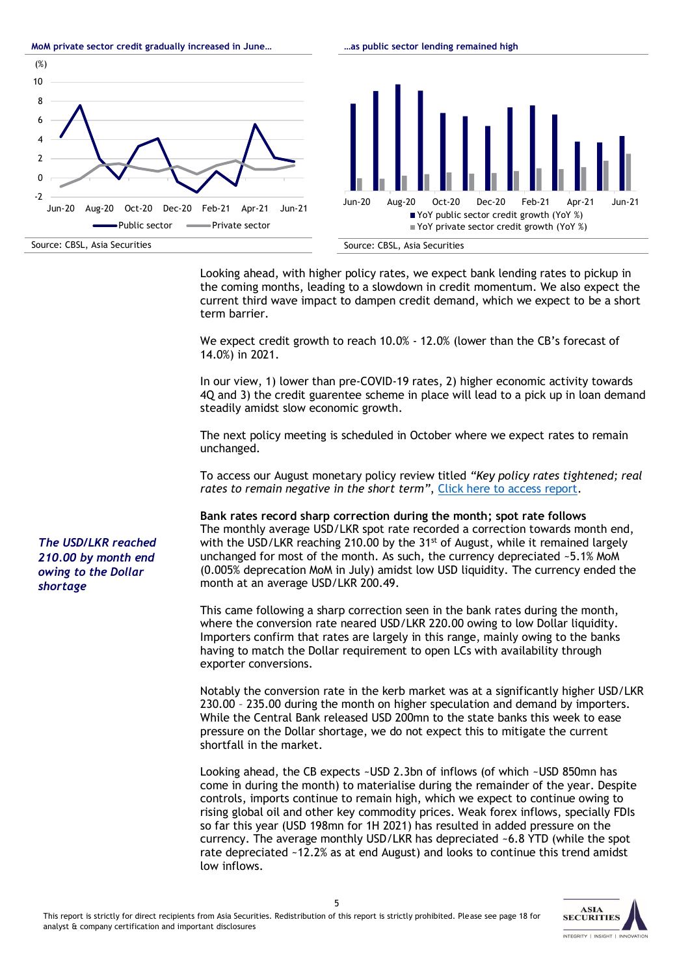Looking ahead, with higher policy rates, we expect bank lending rates to pickup in the coming months, leading to a slowdown in credit momentum. We also expect the current third wave impact to dampen credit demand, which we expect to be a short term barrier.

**…as public sector lending remained high**

We expect credit growth to reach 10.0% - 12.0% (lower than the CB's forecast of 14.0%) in 2021.

In our view, 1) lower than pre-COVID-19 rates, 2) higher economic activity towards 4Q and 3) the credit guarentee scheme in place will lead to a pick up in loan demand steadily amidst slow economic growth.

The next policy meeting is scheduled in October where we expect rates to remain unchanged.

To access our August monetary policy review titled *"Key policy rates tightened; real rates to remain negative in the short term"*[, Click here to access report.](https://bit.ly/MPR_Aug21)

**Bank rates record sharp correction during the month; spot rate follows** The monthly average USD/LKR spot rate recorded a correction towards month end, with the USD/LKR reaching 210.00 by the  $31<sup>st</sup>$  of August, while it remained largely unchanged for most of the month. As such, the currency depreciated ~5.1% MoM (0.005% deprecation MoM in July) amidst low USD liquidity. The currency ended the month at an average USD/LKR 200.49.

This came following a sharp correction seen in the bank rates during the month, where the conversion rate neared USD/LKR 220.00 owing to low Dollar liquidity. Importers confirm that rates are largely in this range, mainly owing to the banks having to match the Dollar requirement to open LCs with availability through exporter conversions.

Notably the conversion rate in the kerb market was at a significantly higher USD/LKR 230.00 – 235.00 during the month on higher speculation and demand by importers. While the Central Bank released USD 200mn to the state banks this week to ease pressure on the Dollar shortage, we do not expect this to mitigate the current shortfall in the market.

Looking ahead, the CB expects ~USD 2.3bn of inflows (of which ~USD 850mn has come in during the month) to materialise during the remainder of the year. Despite controls, imports continue to remain high, which we expect to continue owing to rising global oil and other key commodity prices. Weak forex inflows, specially FDIs so far this year (USD 198mn for 1H 2021) has resulted in added pressure on the currency. The average monthly USD/LKR has depreciated ~6.8 YTD (while the spot rate depreciated ~12.2% as at end August) and looks to continue this trend amidst low inflows.



(%)

**MoM private sector credit gradually increased in June…**

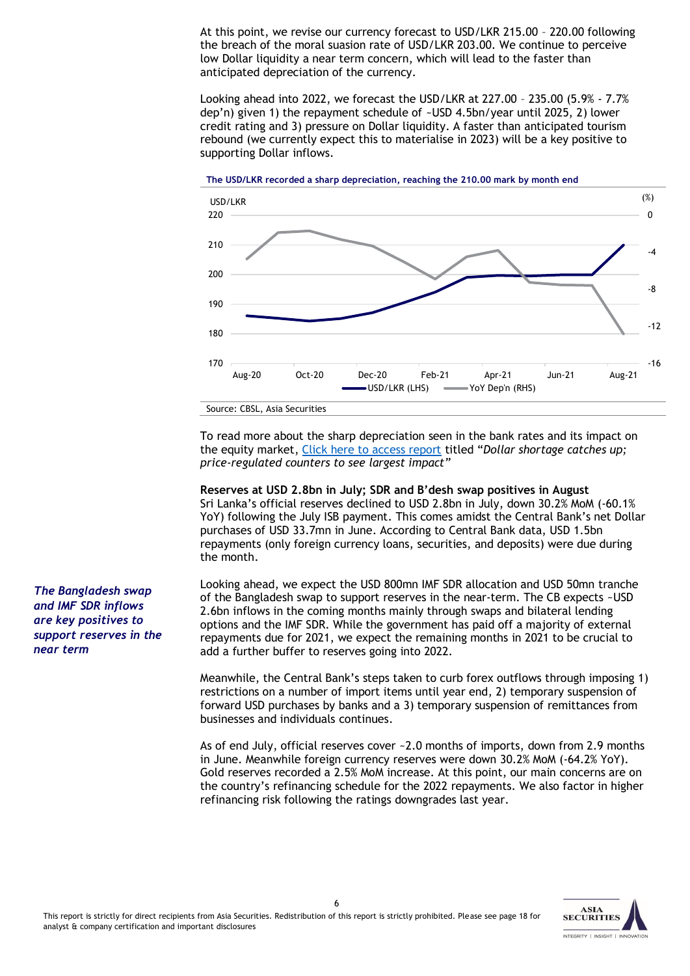At this point, we revise our currency forecast to USD/LKR 215.00 – 220.00 following the breach of the moral suasion rate of USD/LKR 203.00. We continue to perceive low Dollar liquidity a near term concern, which will lead to the faster than anticipated depreciation of the currency.

Looking ahead into 2022, we forecast the USD/LKR at 227.00 – 235.00 (5.9% - 7.7% dep'n) given 1) the repayment schedule of ~USD 4.5bn/year until 2025, 2) lower credit rating and 3) pressure on Dollar liquidity. A faster than anticipated tourism rebound (we currently expect this to materialise in 2023) will be a key positive to supporting Dollar inflows.



To read more about the sharp depreciation seen in the bank rates and its impact on the equity market, [Click here to access report](https://bit.ly/EconomicAndEquityNote_Aug21) titled "*Dollar shortage catches up; price-regulated counters to see largest impact"*

**Reserves at USD 2.8bn in July; SDR and B'desh swap positives in August** Sri Lanka's official reserves declined to USD 2.8bn in July, down 30.2% MoM (-60.1% YoY) following the July ISB payment. This comes amidst the Central Bank's net Dollar purchases of USD 33.7mn in June. According to Central Bank data, USD 1.5bn repayments (only foreign currency loans, securities, and deposits) were due during the month.

Looking ahead, we expect the USD 800mn IMF SDR allocation and USD 50mn tranche of the Bangladesh swap to support reserves in the near-term. The CB expects ~USD 2.6bn inflows in the coming months mainly through swaps and bilateral lending options and the IMF SDR. While the government has paid off a majority of external repayments due for 2021, we expect the remaining months in 2021 to be crucial to add a further buffer to reserves going into 2022.

Meanwhile, the Central Bank's steps taken to curb forex outflows through imposing 1) restrictions on a number of import items until year end, 2) temporary suspension of forward USD purchases by banks and a 3) temporary suspension of remittances from businesses and individuals continues.

As of end July, official reserves cover ~2.0 months of imports, down from 2.9 months in June. Meanwhile foreign currency reserves were down 30.2% MoM (-64.2% YoY). Gold reserves recorded a 2.5% MoM increase. At this point, our main concerns are on the country's refinancing schedule for the 2022 repayments. We also factor in higher refinancing risk following the ratings downgrades last year.



*The Bangladesh swap and IMF SDR inflows are key positives to support reserves in the near term*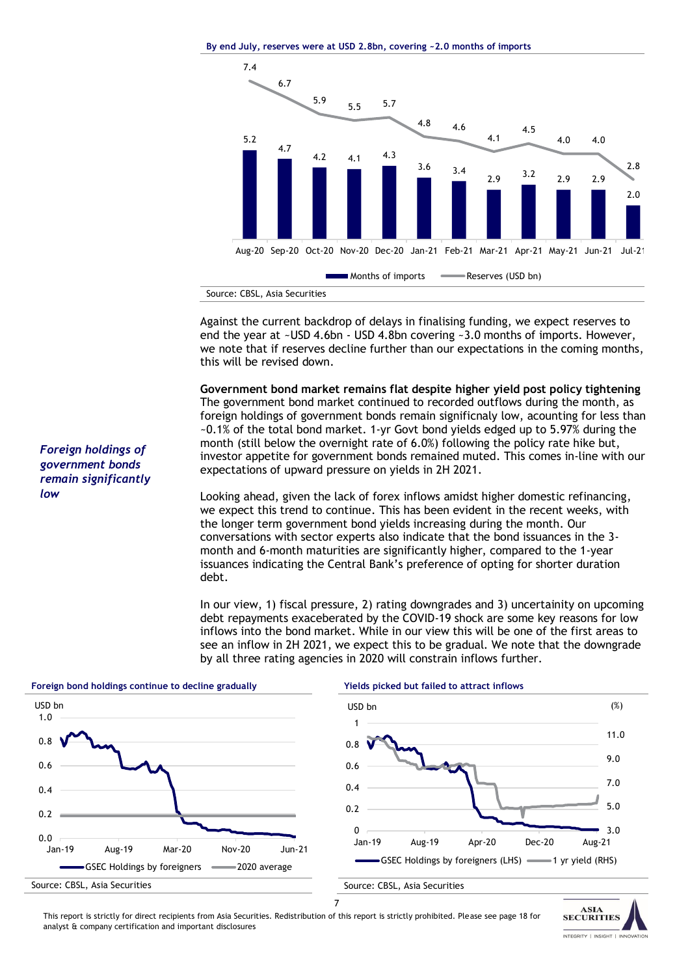**By end July, reserves were at USD 2.8bn, covering ~2.0 months of imports**



Against the current backdrop of delays in finalising funding, we expect reserves to end the year at ~USD 4.6bn - USD 4.8bn covering ~3.0 months of imports. However, we note that if reserves decline further than our expectations in the coming months, this will be revised down.

**Government bond market remains flat despite higher yield post policy tightening** The government bond market continued to recorded outflows during the month, as foreign holdings of government bonds remain significnaly low, acounting for less than ~0.1% of the total bond market. 1-yr Govt bond yields edged up to 5.97% during the month (still below the overnight rate of 6.0%) following the policy rate hike but, investor appetite for government bonds remained muted. This comes in-line with our expectations of upward pressure on yields in 2H 2021.

Looking ahead, given the lack of forex inflows amidst higher domestic refinancing, we expect this trend to continue. This has been evident in the recent weeks, with the longer term government bond yields increasing during the month. Our conversations with sector experts also indicate that the bond issuances in the 3 month and 6-month maturities are significantly higher, compared to the 1-year issuances indicating the Central Bank's preference of opting for shorter duration debt.

In our view, 1) fiscal pressure, 2) rating downgrades and 3) uncertainity on upcoming debt repayments exaceberated by the COVID-19 shock are some key reasons for low inflows into the bond market. While in our view this will be one of the first areas to see an inflow in 2H 2021, we expect this to be gradual. We note that the downgrade by all three rating agencies in 2020 will constrain inflows further.



*Foreign holdings of government bonds remain significantly low*

This report is strictly for direct recipients from Asia Securities. Redistribution of this report is strictly prohibited. Please see page 18 for analyst & company certification and important disclosures

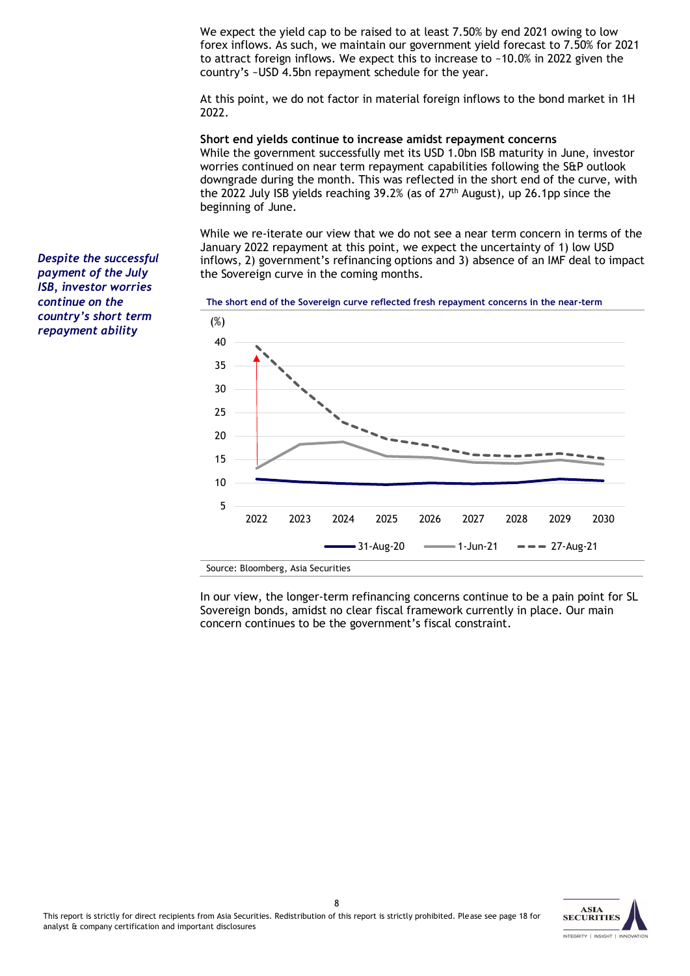We expect the yield cap to be raised to at least 7.50% by end 2021 owing to low forex inflows. As such, we maintain our government yield forecast to 7.50% for 2021 to attract foreign inflows. We expect this to increase to ~10.0% in 2022 given the country's ~USD 4.5bn repayment schedule for the year.

At this point, we do not factor in material foreign inflows to the bond market in 1H 2022.

**Short end yields continue to increase amidst repayment concerns** While the government successfully met its USD 1.0bn ISB maturity in June, investor worries continued on near term repayment capabilities following the S&P outlook downgrade during the month. This was reflected in the short end of the curve, with the 2022 July ISB yields reaching 39.2% (as of  $27<sup>th</sup>$  August), up 26.1pp since the beginning of June.

While we re-iterate our view that we do not see a near term concern in terms of the January 2022 repayment at this point, we expect the uncertainty of 1) low USD inflows, 2) government's refinancing options and 3) absence of an IMF deal to impact the Sovereign curve in the coming months.



*payment of the July ISB, investor worries continue on the country's short term repayment ability*

*Despite the successful* 

In our view, the longer-term refinancing concerns continue to be a pain point for SL Sovereign bonds, amidst no clear fiscal framework currently in place. Our main concern continues to be the government's fiscal constraint.

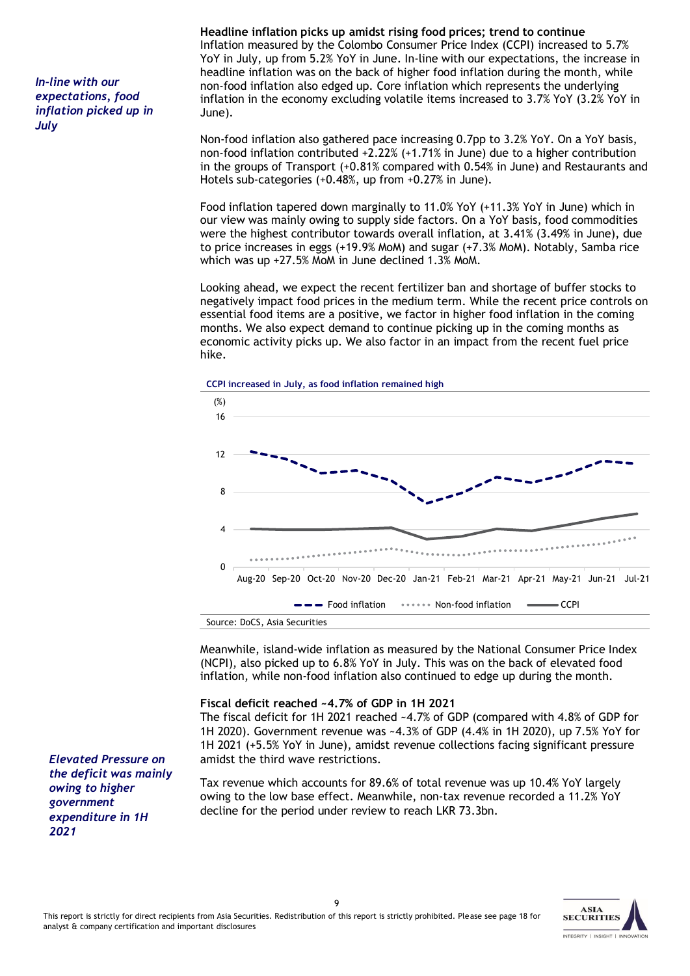*In-line with our expectations, food inflation picked up in July*

#### **Headline inflation picks up amidst rising food prices; trend to continue** Inflation measured by the Colombo Consumer Price Index (CCPI) increased to 5.7% YoY in July, up from 5.2% YoY in June. In-line with our expectations, the increase in headline inflation was on the back of higher food inflation during the month, while non-food inflation also edged up. Core inflation which represents the underlying inflation in the economy excluding volatile items increased to 3.7% YoY (3.2% YoY in June).

Non-food inflation also gathered pace increasing 0.7pp to 3.2% YoY. On a YoY basis, non-food inflation contributed +2.22% (+1.71% in June) due to a higher contribution in the groups of Transport (+0.81% compared with 0.54% in June) and Restaurants and Hotels sub-categories (+0.48%, up from +0.27% in June).

Food inflation tapered down marginally to 11.0% YoY (+11.3% YoY in June) which in our view was mainly owing to supply side factors. On a YoY basis, food commodities were the highest contributor towards overall inflation, at 3.41% (3.49% in June), due to price increases in eggs (+19.9% MoM) and sugar (+7.3% MoM). Notably, Samba rice which was up +27.5% MoM in June declined 1.3% MoM.

Looking ahead, we expect the recent fertilizer ban and shortage of buffer stocks to negatively impact food prices in the medium term. While the recent price controls on essential food items are a positive, we factor in higher food inflation in the coming months. We also expect demand to continue picking up in the coming months as economic activity picks up. We also factor in an impact from the recent fuel price hike.





Meanwhile, island-wide inflation as measured by the National Consumer Price Index (NCPI), also picked up to 6.8% YoY in July. This was on the back of elevated food inflation, while non-food inflation also continued to edge up during the month.

#### **Fiscal deficit reached ~4.7% of GDP in 1H 2021**

The fiscal deficit for 1H 2021 reached ~4.7% of GDP (compared with 4.8% of GDP for 1H 2020). Government revenue was ~4.3% of GDP (4.4% in 1H 2020), up 7.5% YoY for 1H 2021 (+5.5% YoY in June), amidst revenue collections facing significant pressure amidst the third wave restrictions.

Tax revenue which accounts for 89.6% of total revenue was up 10.4% YoY largely owing to the low base effect. Meanwhile, non-tax revenue recorded a 11.2% YoY decline for the period under review to reach LKR 73.3bn.

*Elevated Pressure on the deficit was mainly owing to higher government expenditure in 1H 2021*

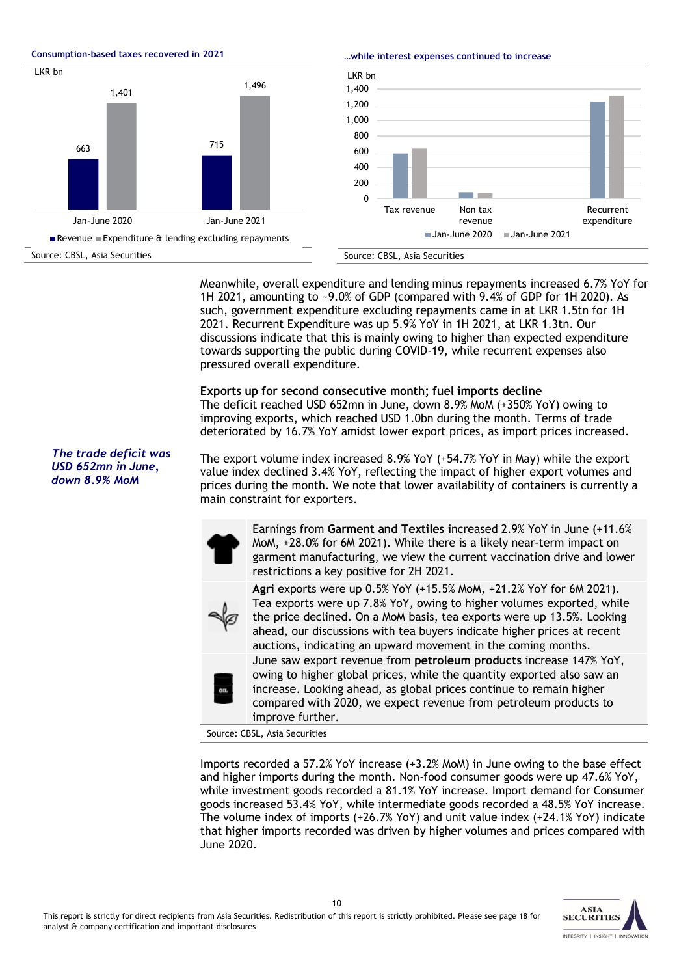0 200 400  $600$ 800 1,000 1,200 1,400 LKR bn **Consumption-based taxes recovered in 2021** Source: CBSL, Asia Securities 663 715 1,401 1,496 Jan-June 2020 Jan-June 2021 LKR bn Revenue Expenditure & lending excluding repayments

**…while interest expenses continued to increase**



Meanwhile, overall expenditure and lending minus repayments increased 6.7% YoY for 1H 2021, amounting to ~9.0% of GDP (compared with 9.4% of GDP for 1H 2020). As such, government expenditure excluding repayments came in at LKR 1.5tn for 1H 2021. Recurrent Expenditure was up 5.9% YoY in 1H 2021, at LKR 1.3tn. Our discussions indicate that this is mainly owing to higher than expected expenditure towards supporting the public during COVID-19, while recurrent expenses also pressured overall expenditure.

**Exports up for second consecutive month; fuel imports decline**  The deficit reached USD 652mn in June, down 8.9% MoM (+350% YoY) owing to improving exports, which reached USD 1.0bn during the month. Terms of trade deteriorated by 16.7% YoY amidst lower export prices, as import prices increased.

The export volume index increased 8.9% YoY (+54.7% YoY in May) while the export value index declined 3.4% YoY, reflecting the impact of higher export volumes and prices during the month. We note that lower availability of containers is currently a main constraint for exporters.

> Earnings from **Garment and Textiles** increased 2.9% YoY in June (+11.6% MoM, +28.0% for 6M 2021). While there is a likely near-term impact on garment manufacturing, we view the current vaccination drive and lower restrictions a key positive for 2H 2021.

> **Agri** exports were up 0.5% YoY (+15.5% MoM, +21.2% YoY for 6M 2021). Tea exports were up 7.8% YoY, owing to higher volumes exported, while the price declined. On a MoM basis, tea exports were up 13.5%. Looking ahead, our discussions with tea buyers indicate higher prices at recent auctions, indicating an upward movement in the coming months. June saw export revenue from **petroleum products** increase 147% YoY,

owing to higher global prices, while the quantity exported also saw an increase. Looking ahead, as global prices continue to remain higher compared with 2020, we expect revenue from petroleum products to improve further.

Source: CBSL, Asia Securities

Imports recorded a 57.2% YoY increase (+3.2% MoM) in June owing to the base effect and higher imports during the month. Non-food consumer goods were up 47.6% YoY, while investment goods recorded a 81.1% YoY increase. Import demand for Consumer goods increased 53.4% YoY, while intermediate goods recorded a 48.5% YoY increase. The volume index of imports (+26.7% YoY) and unit value index (+24.1% YoY) indicate that higher imports recorded was driven by higher volumes and prices compared with June 2020.



*The trade deficit was USD 652mn in June, down 8.9% MoM*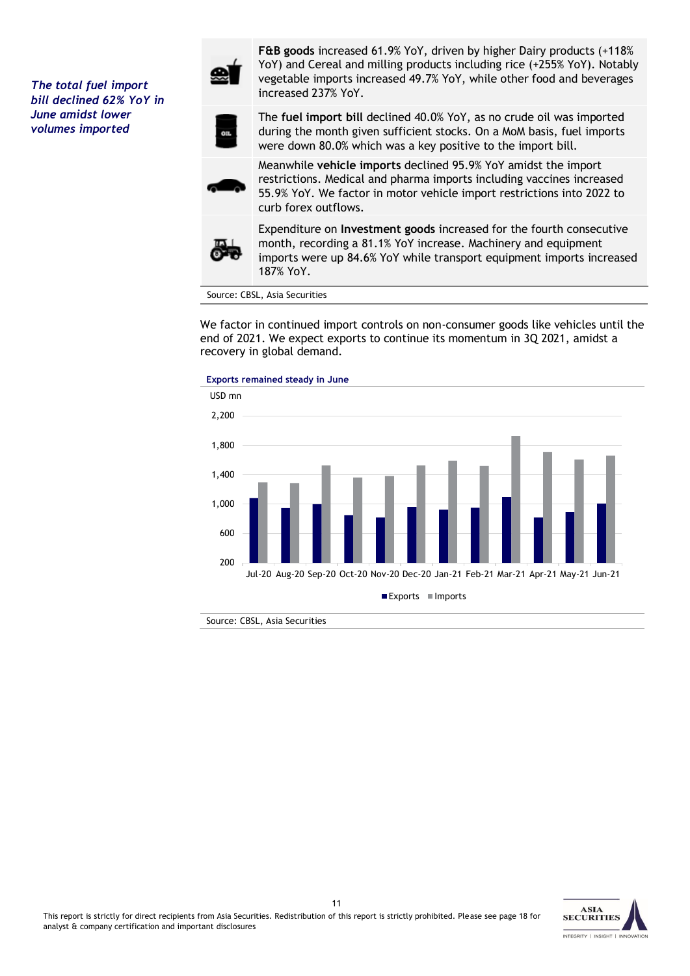*The total fuel import bill declined 62% YoY in June amidst lower volumes imported*



**F&B goods** increased 61.9% YoY, driven by higher Dairy products (+118% YoY) and Cereal and milling products including rice (+255% YoY). Notably vegetable imports increased 49.7% YoY, while other food and beverages increased 237% YoY.



The **fuel import bill** declined 40.0% YoY, as no crude oil was imported during the month given sufficient stocks. On a MoM basis, fuel imports were down 80.0% which was a key positive to the import bill.

Meanwhile **vehicle imports** declined 95.9% YoY amidst the import restrictions. Medical and pharma imports including vaccines increased 55.9% YoY. We factor in motor vehicle import restrictions into 2022 to curb forex outflows.



Expenditure on **Investment goods** increased for the fourth consecutive month, recording a 81.1% YoY increase. Machinery and equipment imports were up 84.6% YoY while transport equipment imports increased 187% YoY.

Source: CBSL, Asia Securities

We factor in continued import controls on non-consumer goods like vehicles until the end of 2021. We expect exports to continue its momentum in 3Q 2021, amidst a recovery in global demand.





Source: CBSL, Asia Securities

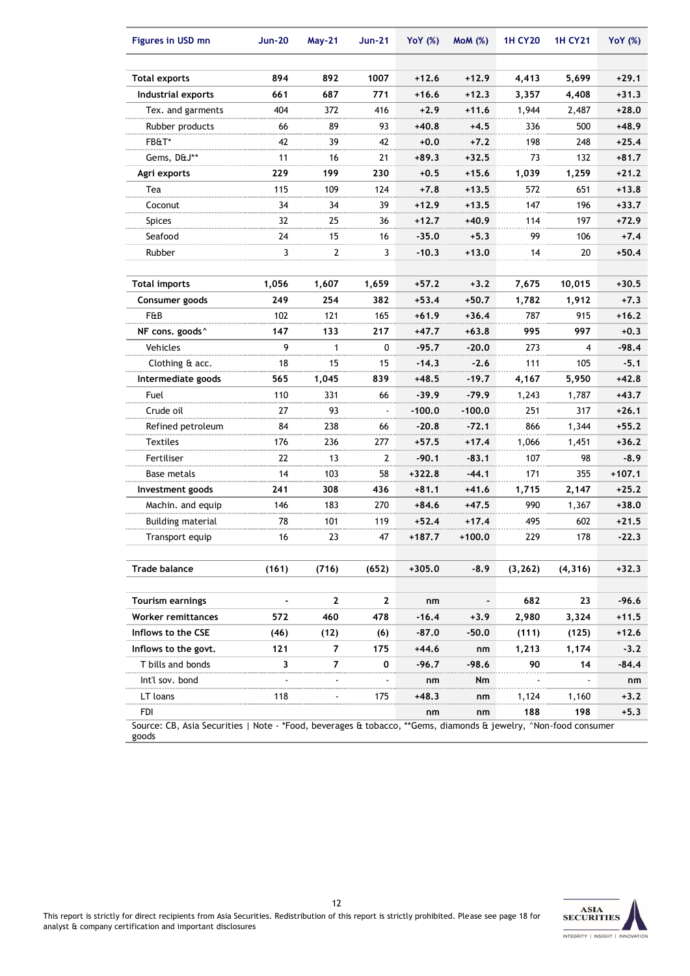| <b>Figures in USD mn</b>                                                                                                 | <b>Jun-20</b>  | <b>May-21</b>  | <b>Jun-21</b> | <b>YoY</b> (%) | MOM(%)   | <b>1H CY20</b> | <b>1H CY21</b> | <b>YoY</b> (%) |
|--------------------------------------------------------------------------------------------------------------------------|----------------|----------------|---------------|----------------|----------|----------------|----------------|----------------|
| Total exports                                                                                                            | 894            | 892            | 1007          | $+12.6$        | $+12.9$  | 4,413          | 5,699          | $+29.1$        |
| Industrial exports                                                                                                       | 661            | 687            | 771           | $+16.6$        | $+12.3$  | 3,357          | 4,408          | $+31.3$        |
| Tex. and garments                                                                                                        | 404            | 372            | 416           | $+2.9$         | $+11.6$  | 1,944          | 2,487          | $+28.0$        |
| Rubber products                                                                                                          | 66             | 89             | 93            | $+40.8$        | $+4.5$   | 336            | 500            | $+48.9$        |
| FB&T*                                                                                                                    | 42             | 39             | 42            | $+0.0$         | $+7.2$   | 198            | 248            | $+25.4$        |
| Gems, D&J**                                                                                                              | 11             | 16             | 21            | +89.3          | $+32.5$  | 73             | 132            | $+81.7$        |
| Agri exports                                                                                                             | 229            | 199            | 230           | $+0.5$         | $+15.6$  | 1,039          | 1,259          | $+21.2$        |
| Tea                                                                                                                      | 115            | 109            | 124           | $+7.8$         | $+13.5$  | 572            | 651            | $+13.8$        |
| Coconut                                                                                                                  | 34             | 34             | 39            | +12.9          | $+13.5$  | 147            | 196            | $+33.7$        |
| Spices                                                                                                                   | 32             | 25             | 36            | $+12.7$        | $+40.9$  | 114            | 197            | $+72.9$        |
| Seafood                                                                                                                  | 24             | 15             | 16            | $-35.0$        | $+5.3$   | 99             | 106            | $+7.4$         |
| Rubber                                                                                                                   | 3              | $\overline{2}$ | 3             | $-10.3$        | $+13.0$  | 14             | 20             | $+50.4$        |
|                                                                                                                          |                |                |               |                |          |                |                |                |
| <b>Total imports</b>                                                                                                     | 1,056          | 1,607          | 1,659         | $+57.2$        | $+3.2$   | 7,675          | 10,015         | $+30.5$        |
| Consumer goods                                                                                                           | 249            | 254            | 382           | $+53.4$        | $+50.7$  | 1,782          | 1,912          | $+7.3$         |
| F&B                                                                                                                      | 102            | 121            | 165           | $+61.9$        | $+36.4$  | 787            | 915            | $+16.2$        |
| NF cons. goods^                                                                                                          | 147            | 133            | 217           | +47.7          | $+63.8$  | 995            | 997            | $+0.3$         |
| <b>Vehicles</b>                                                                                                          | 9              | 1              | 0             | $-95.7$        | $-20.0$  | 273            | 4              | $-98.4$        |
| Clothing & acc.                                                                                                          | 18             | 15             | 15            | $-14.3$        | $-2.6$   | 111            | 105            | $-5.1$         |
| Intermediate goods                                                                                                       | 565            | 1,045          | 839           | $+48.5$        | $-19.7$  | 4,167          | 5,950          | $+42.8$        |
| Fuel                                                                                                                     | 110            | 331            | 66            | $-39.9$        | $-79.9$  | 1,243          | 1,787          | $+43.7$        |
| Crude oil                                                                                                                | 27             | 93             |               | $-100.0$       | $-100.0$ | 251            | 317            | $+26.1$        |
| Refined petroleum                                                                                                        | 84             | 238            | 66            | $-20.8$        | $-72.1$  | 866            | 1,344          | $+55.2$        |
| <b>Textiles</b>                                                                                                          | 176            | 236            | 277           | $+57.5$        | $+17.4$  | 1,066          | 1,451          | $+36.2$        |
| Fertiliser                                                                                                               | 22             | 13             | 2             | -90.1          | $-83.1$  | 107            | 98             | $-8.9$         |
| Base metals                                                                                                              | 14             | 103            | 58            | $+322.8$       | $-44.1$  | 171            | 355            | $+107.1$       |
| Investment goods                                                                                                         | 241            | 308            | 436           | $+81.1$        | $+41.6$  | 1,715          | 2,147          | $+25.2$        |
| Machin. and equip                                                                                                        | 146            | 183            | 270           | $+84.6$        | $+47.5$  | 990            | 1,367          | $+38.0$        |
| <b>Building material</b>                                                                                                 | 78             | 101            | 119           | +52.4          | $+17.4$  | 495            | 602            | $+21.5$        |
| Transport equip                                                                                                          | 16             | 23             | 47            | +187.7         | $+100.0$ | 229            | 178            | $-22.3$        |
|                                                                                                                          |                |                |               |                |          |                |                |                |
| <b>Trade balance</b>                                                                                                     | (161)          | (716)          | (652)         | $+305.0$       | $-8.9$   | (3, 262)       | (4, 316)       | $+32.3$        |
|                                                                                                                          |                |                |               |                |          |                |                |                |
| <b>Tourism earnings</b>                                                                                                  | $\blacksquare$ | $\mathbf{2}$   | 2             | nm             | -        | 682            | 23             | $-96.6$        |
| Worker remittances                                                                                                       | 572            | 460            | 478           | $-16.4$        | $+3.9$   | 2,980          | 3,324          | $+11.5$        |
| Inflows to the CSE                                                                                                       | (46)           | (12)           | (6)           | -87.0          | $-50.0$  | (111)          | (125)          | $+12.6$        |
| Inflows to the govt.                                                                                                     | 121            | 7              | 175           | $+44.6$        | nm       | 1,213          | 1,174          | $-3.2$         |
| T bills and bonds                                                                                                        | 3              | 7              | 0             | -96.7          | -98.6    | 90             | 14             | $-84.4$        |
| Int'l sov. bond                                                                                                          |                |                |               | nm             | Nm       |                |                | nm             |
| LT loans                                                                                                                 | 118            |                | 175           | $+48.3$        | nm       | 1,124          | 1,160          | $+3.2$         |
| <b>FDI</b>                                                                                                               |                |                |               | nm             | nm       | 188            | 198            | $+5.3$         |
| Source: CB, Asia Securities   Note - *Food, beverages & tobacco, **Gems, diamonds & jewelry, ^Non-food consumer<br>goods |                |                |               |                |          |                |                |                |

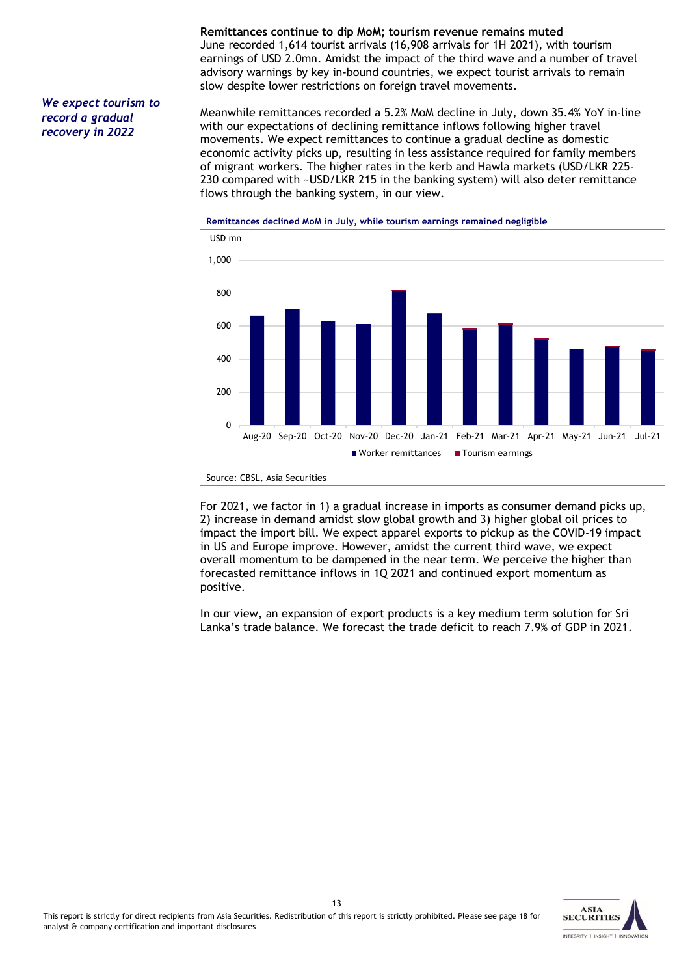#### *We expect tourism to record a gradual recovery in 2022*

**Remittances continue to dip MoM; tourism revenue remains muted** June recorded 1,614 tourist arrivals (16,908 arrivals for 1H 2021), with tourism earnings of USD 2.0mn. Amidst the impact of the third wave and a number of travel advisory warnings by key in-bound countries, we expect tourist arrivals to remain slow despite lower restrictions on foreign travel movements.

Meanwhile remittances recorded a 5.2% MoM decline in July, down 35.4% YoY in-line with our expectations of declining remittance inflows following higher travel movements. We expect remittances to continue a gradual decline as domestic economic activity picks up, resulting in less assistance required for family members of migrant workers. The higher rates in the kerb and Hawla markets (USD/LKR 225- 230 compared with ~USD/LKR 215 in the banking system) will also deter remittance flows through the banking system, in our view.



#### **Remittances declined MoM in July, while tourism earnings remained negligible**



For 2021, we factor in 1) a gradual increase in imports as consumer demand picks up, 2) increase in demand amidst slow global growth and 3) higher global oil prices to impact the import bill. We expect apparel exports to pickup as the COVID-19 impact in US and Europe improve. However, amidst the current third wave, we expect overall momentum to be dampened in the near term. We perceive the higher than forecasted remittance inflows in 1Q 2021 and continued export momentum as positive.

In our view, an expansion of export products is a key medium term solution for Sri Lanka's trade balance. We forecast the trade deficit to reach 7.9% of GDP in 2021.

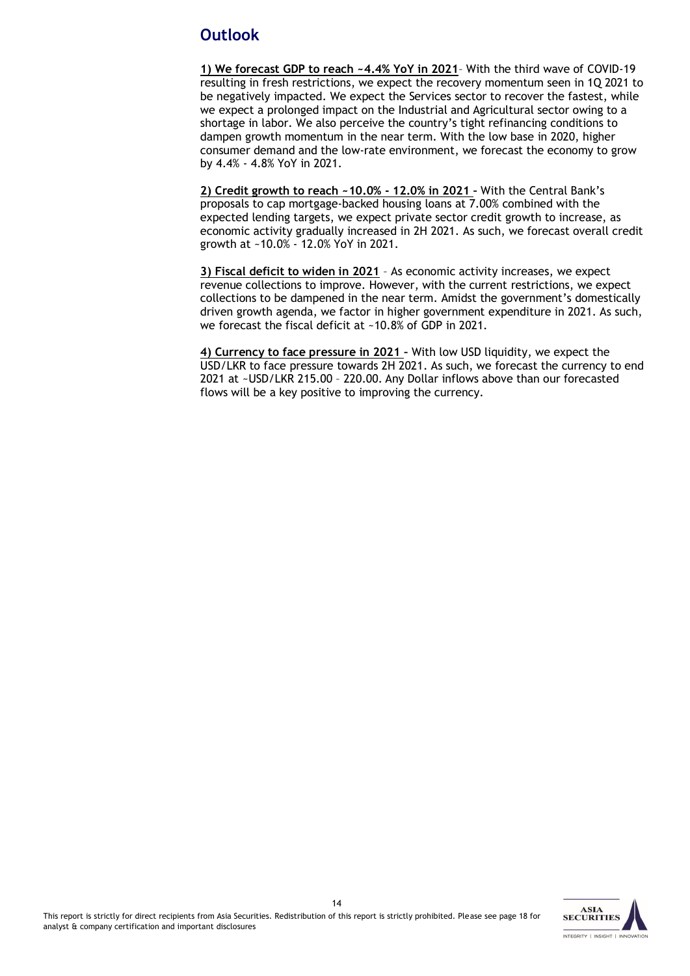## **Outlook**

**1) We forecast GDP to reach ~4.4% YoY in 2021**– With the third wave of COVID-19 resulting in fresh restrictions, we expect the recovery momentum seen in 1Q 2021 to be negatively impacted. We expect the Services sector to recover the fastest, while we expect a prolonged impact on the Industrial and Agricultural sector owing to a shortage in labor. We also perceive the country's tight refinancing conditions to dampen growth momentum in the near term. With the low base in 2020, higher consumer demand and the low-rate environment, we forecast the economy to grow by 4.4% - 4.8% YoY in 2021.

**2) Credit growth to reach ~10.0% - 12.0% in 2021 –** With the Central Bank's proposals to cap mortgage-backed housing loans at 7.00% combined with the expected lending targets, we expect private sector credit growth to increase, as economic activity gradually increased in 2H 2021. As such, we forecast overall credit growth at ~10.0% - 12.0% YoY in 2021.

**3) Fiscal deficit to widen in 2021** – As economic activity increases, we expect revenue collections to improve. However, with the current restrictions, we expect collections to be dampened in the near term. Amidst the government's domestically driven growth agenda, we factor in higher government expenditure in 2021. As such, we forecast the fiscal deficit at ~10.8% of GDP in 2021.

**4) Currency to face pressure in 2021 –** With low USD liquidity, we expect the USD/LKR to face pressure towards 2H 2021. As such, we forecast the currency to end 2021 at ~USD/LKR 215.00 – 220.00. Any Dollar inflows above than our forecasted flows will be a key positive to improving the currency.

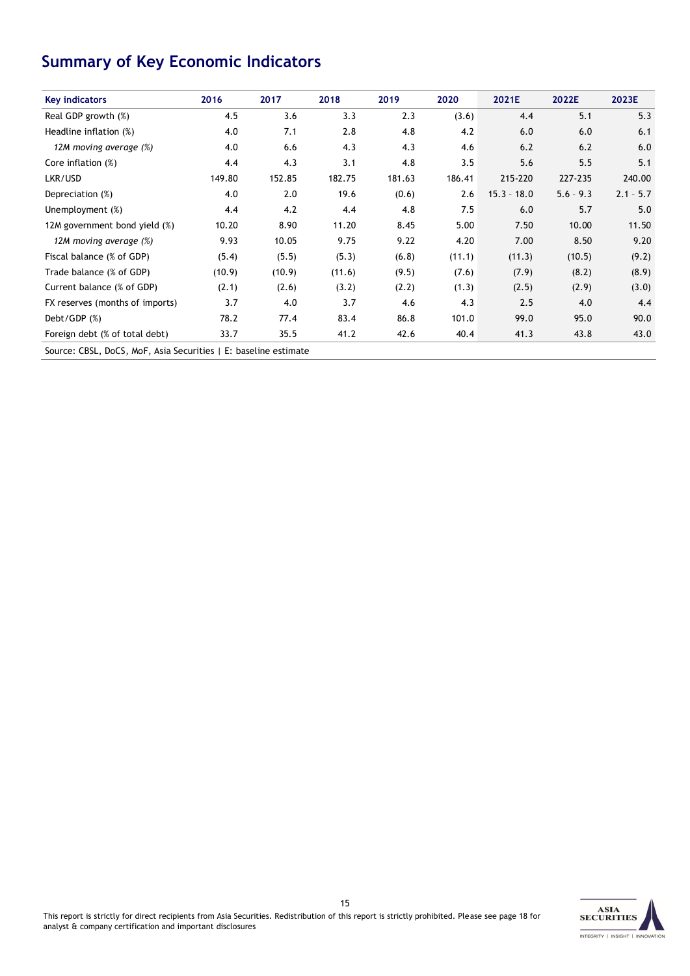# **Summary of Key Economic Indicators**

| <b>Key indicators</b>                                           | 2016   | 2017   | 2018   | 2019   | 2020   | 2021E         | 2022E       | 2023E       |
|-----------------------------------------------------------------|--------|--------|--------|--------|--------|---------------|-------------|-------------|
| Real GDP growth (%)                                             | 4.5    | 3.6    | 3.3    | 2.3    | (3.6)  | 4.4           | 5.1         | 5.3         |
| Headline inflation (%)                                          | 4.0    | 7.1    | 2.8    | 4.8    | 4.2    | 6.0           | 6.0         | 6.1         |
| 12M moving average (%)                                          | 4.0    | 6.6    | 4.3    | 4.3    | 4.6    | 6.2           | 6.2         | 6.0         |
| Core inflation (%)                                              | 4.4    | 4.3    | 3.1    | 4.8    | 3.5    | 5.6           | 5.5         | 5.1         |
| LKR/USD                                                         | 149.80 | 152.85 | 182.75 | 181.63 | 186.41 | 215-220       | 227-235     | 240.00      |
| Depreciation (%)                                                | 4.0    | 2.0    | 19.6   | (0.6)  | 2.6    | $15.3 - 18.0$ | $5.6 - 9.3$ | $2.1 - 5.7$ |
| Unemployment (%)                                                | 4.4    | 4.2    | 4.4    | 4.8    | 7.5    | 6.0           | 5.7         | 5.0         |
| 12M government bond yield (%)                                   | 10.20  | 8.90   | 11.20  | 8.45   | 5.00   | 7.50          | 10.00       | 11.50       |
| 12M moving average (%)                                          | 9.93   | 10.05  | 9.75   | 9.22   | 4.20   | 7.00          | 8.50        | 9.20        |
| Fiscal balance (% of GDP)                                       | (5.4)  | (5.5)  | (5.3)  | (6.8)  | (11.1) | (11.3)        | (10.5)      | (9.2)       |
| Trade balance (% of GDP)                                        | (10.9) | (10.9) | (11.6) | (9.5)  | (7.6)  | (7.9)         | (8.2)       | (8.9)       |
| Current balance (% of GDP)                                      | (2.1)  | (2.6)  | (3.2)  | (2.2)  | (1.3)  | (2.5)         | (2.9)       | (3.0)       |
| FX reserves (months of imports)                                 | 3.7    | 4.0    | 3.7    | 4.6    | 4.3    | 2.5           | 4.0         | 4.4         |
| Debt/GDP (%)                                                    | 78.2   | 77.4   | 83.4   | 86.8   | 101.0  | 99.0          | 95.0        | 90.0        |
| Foreign debt (% of total debt)                                  | 33.7   | 35.5   | 41.2   | 42.6   | 40.4   | 41.3          | 43.8        | 43.0        |
| Source: CBSL, DoCS, MoF, Asia Securities   E: baseline estimate |        |        |        |        |        |               |             |             |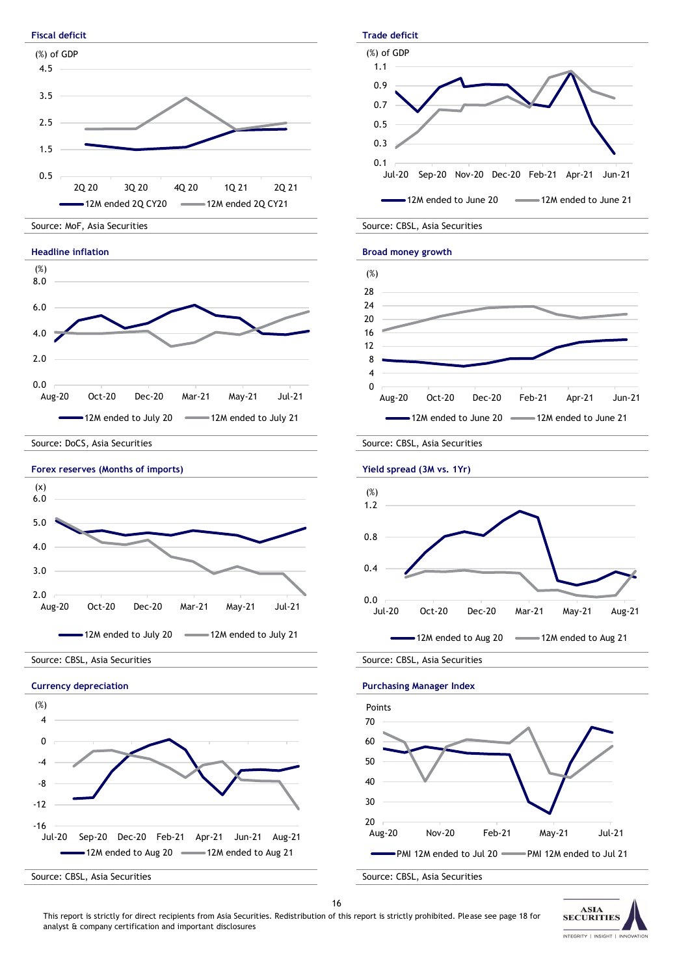

This report is strictly for direct recipients from Asia Securities. Redistribution of this report is strictly prohibited. Please see page 18 for analyst & company certification and important disclosures

**SECURITIES**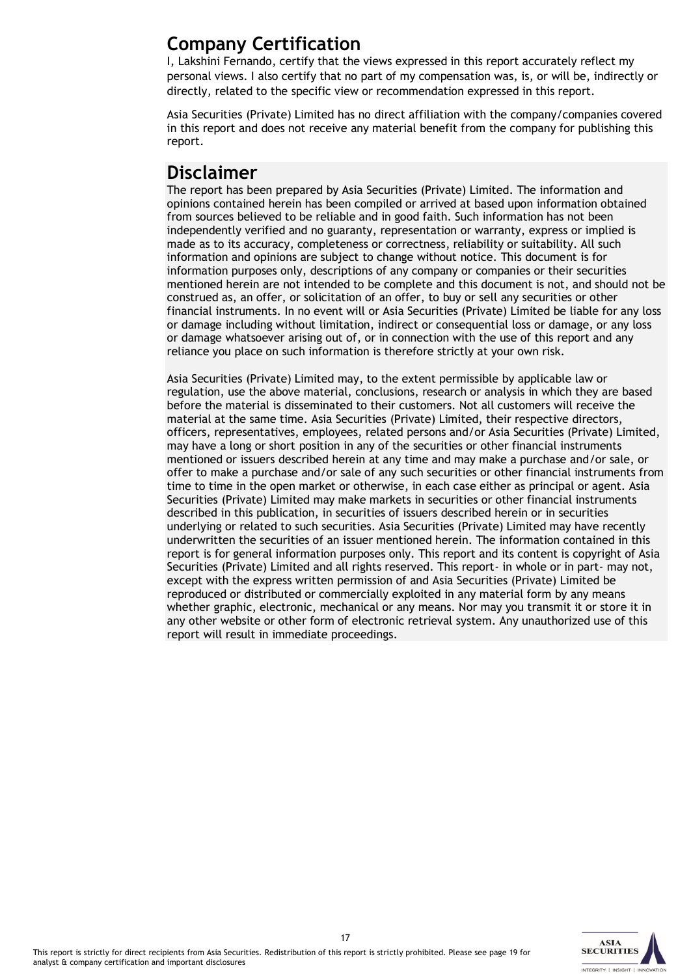# **Company Certification**

I, Lakshini Fernando, certify that the views expressed in this report accurately reflect my personal views. I also certify that no part of my compensation was, is, or will be, indirectly or directly, related to the specific view or recommendation expressed in this report.

Asia Securities (Private) Limited has no direct affiliation with the company/companies covered in this report and does not receive any material benefit from the company for publishing this report.

# **Disclaimer**

The report has been prepared by Asia Securities (Private) Limited. The information and opinions contained herein has been compiled or arrived at based upon information obtained from sources believed to be reliable and in good faith. Such information has not been independently verified and no guaranty, representation or warranty, express or implied is made as to its accuracy, completeness or correctness, reliability or suitability. All such information and opinions are subject to change without notice. This document is for information purposes only, descriptions of any company or companies or their securities mentioned herein are not intended to be complete and this document is not, and should not be construed as, an offer, or solicitation of an offer, to buy or sell any securities or other financial instruments. In no event will or Asia Securities (Private) Limited be liable for any loss or damage including without limitation, indirect or consequential loss or damage, or any loss or damage whatsoever arising out of, or in connection with the use of this report and any reliance you place on such information is therefore strictly at your own risk.

Asia Securities (Private) Limited may, to the extent permissible by applicable law or regulation, use the above material, conclusions, research or analysis in which they are based before the material is disseminated to their customers. Not all customers will receive the material at the same time. Asia Securities (Private) Limited, their respective directors, officers, representatives, employees, related persons and/or Asia Securities (Private) Limited, may have a long or short position in any of the securities or other financial instruments mentioned or issuers described herein at any time and may make a purchase and/or sale, or offer to make a purchase and/or sale of any such securities or other financial instruments from time to time in the open market or otherwise, in each case either as principal or agent. Asia Securities (Private) Limited may make markets in securities or other financial instruments described in this publication, in securities of issuers described herein or in securities underlying or related to such securities. Asia Securities (Private) Limited may have recently underwritten the securities of an issuer mentioned herein. The information contained in this report is for general information purposes only. This report and its content is copyright of Asia Securities (Private) Limited and all rights reserved. This report- in whole or in part- may not, except with the express written permission of and Asia Securities (Private) Limited be reproduced or distributed or commercially exploited in any material form by any means whether graphic, electronic, mechanical or any means. Nor may you transmit it or store it in any other website or other form of electronic retrieval system. Any unauthorized use of this report will result in immediate proceedings.